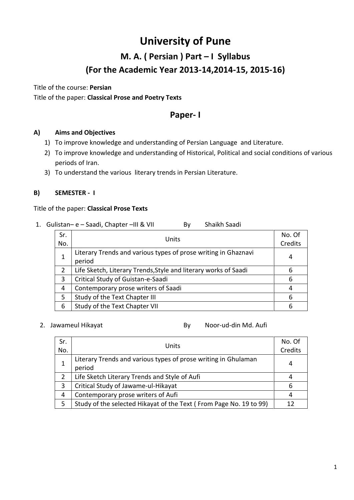## **M. A. ( Persian ) Part – I Syllabus (For the Academic Year 2013-14,2014-15, 2015-16)**

Title of the course: **Persian**  Title of the paper: **Classical Prose and Poetry Texts**

## **Paper- I**

#### **A) Aims and Objectives**

- 1) To improve knowledge and understanding of Persian Language and Literature.
- 2) To improve knowledge and understanding of Historical, Political and social conditions of various periods of Iran.
- 3) To understand the various literary trends in Persian Literature.

#### **B) SEMESTER - I**

#### Title of the paper: **Classical Prose Texts**

1. Gulistan– e – Saadi, Chapter – III & VII By Shaikh Saadi

| Sr.<br>No.    | Units                                                                     | No. Of<br>Credits |
|---------------|---------------------------------------------------------------------------|-------------------|
|               | Literary Trends and various types of prose writing in Ghaznavi            | 4                 |
| $\mathcal{P}$ | period<br>Life Sketch, Literary Trends, Style and literary works of Saadi | 6                 |
| 3             | Critical Study of Guistan-e-Saadi                                         | 6                 |
| 4             | Contemporary prose writers of Saadi                                       | 4                 |
| 5             | Study of the Text Chapter III                                             | 6                 |
| 6             | Study of the Text Chapter VII                                             | 6                 |

2. Jawameul Hikayat **By** Noor-ud-din Md. Aufi

| Sr. | Units                                                              | No. Of |
|-----|--------------------------------------------------------------------|--------|
| No. |                                                                    |        |
|     | Literary Trends and various types of prose writing in Ghulaman     | 4      |
|     | period                                                             |        |
|     | Life Sketch Literary Trends and Style of Aufi                      |        |
| 3   | Critical Study of Jawame-ul-Hikayat                                | 6      |
| 4   | Contemporary prose writers of Aufi                                 | 4      |
| 5   | Study of the selected Hikayat of the Text (From Page No. 19 to 99) | 12     |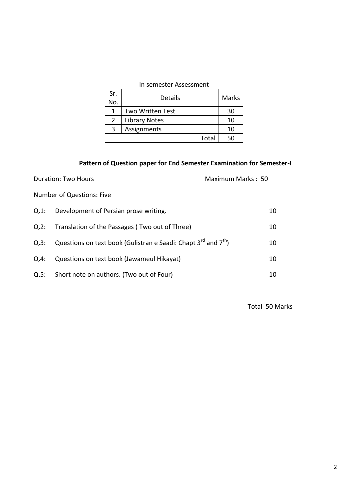|     | In semester Assessment  |       |  |  |
|-----|-------------------------|-------|--|--|
| Sr. | Details                 | Marks |  |  |
| No. |                         |       |  |  |
| 1   | <b>Two Written Test</b> | 30    |  |  |
| 2   | Library Notes           | 10    |  |  |
| 3   | Assignments             | 10    |  |  |
|     | 50                      |       |  |  |

### **Pattern of Question paper for End Semester Examination for Semester-I**

| Duration: Two Hours              |                                                                          | Maximum Marks: 50 |    |  |
|----------------------------------|--------------------------------------------------------------------------|-------------------|----|--|
| <b>Number of Questions: Five</b> |                                                                          |                   |    |  |
| Q.1:                             | Development of Persian prose writing.                                    |                   | 10 |  |
| Q.2:                             | Translation of the Passages (Two out of Three)                           |                   | 10 |  |
| Q.3:                             | Questions on text book (Gulistran e Saadi: Chapt $3^{rd}$ and $7^{th}$ ) |                   | 10 |  |
| Q.4:                             | Questions on text book (Jawameul Hikayat)                                |                   | 10 |  |
| Q.5:                             | Short note on authors. (Two out of Four)                                 |                   | 10 |  |

----------------------

Total 50 Marks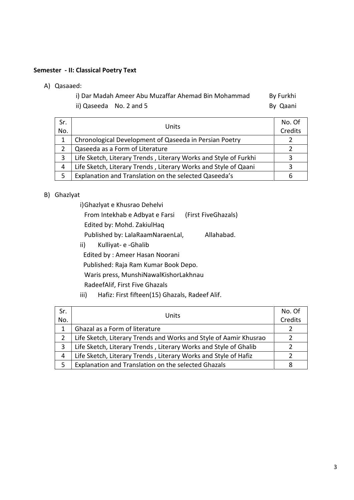#### **Semester - II: Classical Poetry Text**

A) Qasaaed:

| i) Dar Madah Ameer Abu Muzaffar Ahemad Bin Mohammad | By Furkhi |
|-----------------------------------------------------|-----------|
| ii) Qaseeda No. 2 and 5                             | By Qaani  |

| Sr.<br>No.    | Units                                                            | No. Of<br>Credits |
|---------------|------------------------------------------------------------------|-------------------|
|               | Chronological Development of Qaseeda in Persian Poetry           |                   |
| $\mathcal{P}$ | Qaseeda as a Form of Literature                                  |                   |
| 3             | Life Sketch, Literary Trends, Literary Works and Style of Furkhi |                   |
| 4             | Life Sketch, Literary Trends, Literary Works and Style of Qaani  |                   |
| 5             | Explanation and Translation on the selected Qaseeda's            |                   |

#### B) Ghazlyat

| i) Ghazlyat e Khusrao Dehelvi    |                     |
|----------------------------------|---------------------|
| From Intekhab e Adbyat e Farsi   | (First FiveGhazals) |
| Edited by: Mohd. ZakiulHag       |                     |
| Published by: LalaRaamNaraenLal, | Allahabad.          |

ii) Kulliyat- e -Ghalib

Edited by : Ameer Hasan Noorani

Published: Raja Ram Kumar Book Depo.

Waris press, MunshiNawalKishorLakhnau

RadeefAlif, First Five Ghazals

iii) Hafiz: First fifteen(15) Ghazals, Radeef Alif.

| Sr. | Units                                                             | No. Of  |
|-----|-------------------------------------------------------------------|---------|
| No. |                                                                   | Credits |
| 1   | Ghazal as a Form of literature                                    |         |
| 2   | Life Sketch, Literary Trends and Works and Style of Aamir Khusrao |         |
| 3   | Life Sketch, Literary Trends, Literary Works and Style of Ghalib  |         |
| 4   | Life Sketch, Literary Trends, Literary Works and Style of Hafiz   |         |
| 5   | Explanation and Translation on the selected Ghazals               |         |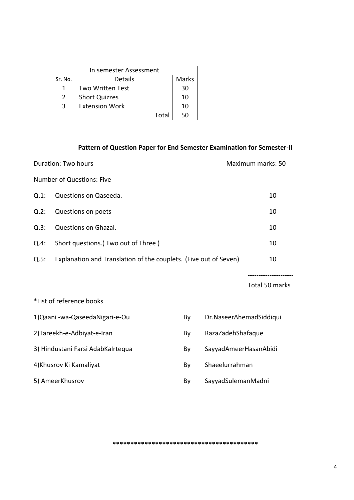| In semester Assessment |                         |    |  |
|------------------------|-------------------------|----|--|
| Sr. No.                | Marks                   |    |  |
|                        | <b>Two Written Test</b> | 30 |  |
| 2                      | <b>Short Quizzes</b>    | 10 |  |
| κ                      | <b>Extension Work</b>   | 10 |  |
|                        | Total                   | 50 |  |

#### **Pattern of Question Paper for End Semester Examination for Semester-II**

| Duration: Two hours                                                      |                                    |  | Maximum marks: 50       |                |
|--------------------------------------------------------------------------|------------------------------------|--|-------------------------|----------------|
| <b>Number of Questions: Five</b>                                         |                                    |  |                         |                |
| $Q.1$ :                                                                  | Questions on Qaseeda.              |  |                         | 10             |
| Q.2:                                                                     | Questions on poets                 |  |                         | 10             |
| Q.3:                                                                     | Questions on Ghazal.               |  |                         | 10             |
| Q.4:                                                                     | Short questions.(Two out of Three) |  |                         | 10             |
| Explanation and Translation of the couplets. (Five out of Seven)<br>Q.5: |                                    |  | 10                      |                |
|                                                                          |                                    |  |                         |                |
|                                                                          |                                    |  |                         | Total 50 marks |
|                                                                          | *List of reference books           |  |                         |                |
| 1) Qaani - wa-Qaseeda Nigari-e-Ou<br>By                                  |                                    |  | Dr.NaseerAhemadSiddiqui |                |
| 2) Tareekh-e-Adbiyat-e-Iran<br>RazaZadehShafaque<br>By                   |                                    |  |                         |                |
| 3) Hindustani Farsi AdabKaIrtequa<br>SayyadAmeerHasanAbidi<br>By         |                                    |  |                         |                |

- 4)Khusrov Ki Kamaliyat **By** Shaeelurrahman
- 
- 
- 
- 5) AmeerKhusrov **By** SayyadSulemanMadni

**\*\*\*\*\*\*\*\*\*\*\*\*\*\*\*\*\*\*\*\*\*\*\*\*\*\*\*\*\*\*\*\*\*\*\*\*\*\*\*\*\***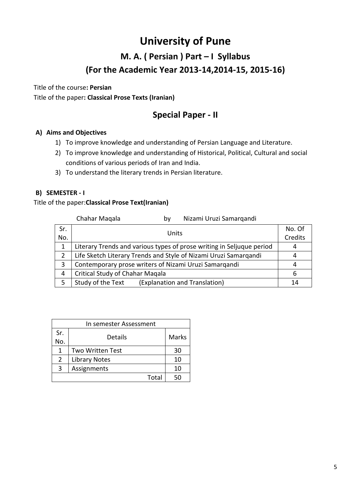## **M. A. ( Persian ) Part – I Syllabus (For the Academic Year 2013-14,2014-15, 2015-16)**

Title of the course**: Persian** Title of the paper**: Classical Prose Texts (Iranian)**

## **Special Paper - II**

#### **A) Aims and Objectives**

- 1) To improve knowledge and understanding of Persian Language and Literature.
- 2) To improve knowledge and understanding of Historical, Political, Cultural and social conditions of various periods of Iran and India.
- 3) To understand the literary trends in Persian literature.

#### **B) SEMESTER - I**

#### Title of the paper:**Classical Prose Text(Iranian)**

|     | Chahar Magala                                                    | bv    | Nizami Uruzi Samarqandi                                               |         |
|-----|------------------------------------------------------------------|-------|-----------------------------------------------------------------------|---------|
| Sr. |                                                                  | Units |                                                                       | No. Of  |
| No. |                                                                  |       |                                                                       | Credits |
|     |                                                                  |       | Literary Trends and various types of prose writing in Seljuque period | 4       |
| 2   | Life Sketch Literary Trends and Style of Nizami Uruzi Samargandi |       |                                                                       | 4       |
| 3   | Contemporary prose writers of Nizami Uruzi Samargandi            |       |                                                                       | 4       |
| 4   | Critical Study of Chahar Magala                                  |       |                                                                       | 6       |
| 5   | Study of the Text                                                |       | (Explanation and Translation)                                         | 14      |

| In semester Assessment |                      |              |  |  |
|------------------------|----------------------|--------------|--|--|
| Sr.                    | Details              |              |  |  |
| No.                    |                      | <b>Marks</b> |  |  |
| 1                      | Two Written Test     | 30           |  |  |
| 2                      | <b>Library Notes</b> | 10           |  |  |
| 3                      | Assignments          | 10           |  |  |
|                        | Total                |              |  |  |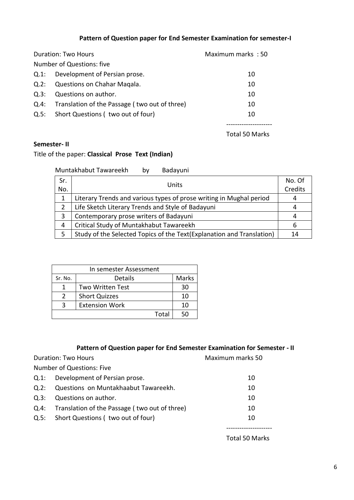### **Pattern of Question paper for End Semester Examination for semester-I**

| Duration: Two Hours |                                               | Maximum marks: 50 |
|---------------------|-----------------------------------------------|-------------------|
|                     | Number of Questions: five                     |                   |
| $Q.1$ :             | Development of Persian prose.                 | 10                |
| Q.2:                | Questions on Chahar Magala.                   | 10                |
| Q.3:                | Questions on author.                          | 10                |
| Q.4:                | Translation of the Passage (two out of three) | 10                |
| Q.5:                | Short Questions (two out of four)             | 10                |
|                     |                                               |                   |

Total 50 Marks

#### **Semester- II**

### Title of the paper: **Classical Prose Text (Indian)**

| Muntakhabut Tawareekh | by | Badayuni |
|-----------------------|----|----------|
|-----------------------|----|----------|

| Sr.<br>No. | Units                                                                 | No. Of<br>Credits |
|------------|-----------------------------------------------------------------------|-------------------|
| 1          | Literary Trends and various types of prose writing in Mughal period   |                   |
| 2          | Life Sketch Literary Trends and Style of Badayuni                     | 4                 |
| 3          | Contemporary prose writers of Badayuni                                | 4                 |
| 4          | Critical Study of Muntakhabut Tawareekh                               | 6                 |
| 5          | Study of the Selected Topics of the Text(Explanation and Translation) | 14                |

| In semester Assessment |                         |       |  |
|------------------------|-------------------------|-------|--|
| Sr. No.                | Details                 | Marks |  |
|                        | <b>Two Written Test</b> | 30    |  |
| $\mathcal{L}$          | <b>Short Quizzes</b>    | 10    |  |
| З                      | <b>Extension Work</b>   | 10    |  |
|                        | Total                   | הה    |  |

### **Pattern of Question paper for End Semester Examination for Semester - II**

Duration: Two Hours **Maximum marks** 50

Number of Questions: Five

| Q.1: Development of Persian prose.                 | 10 |
|----------------------------------------------------|----|
| Questions on Muntakhaabut Tawareekh.               | 10 |
| Questions on author.                               | 10 |
| Q.4: Translation of the Passage (two out of three) | 10 |
| Q.5: Short Questions (two out of four)             | 10 |
|                                                    |    |
|                                                    |    |

Total 50 Marks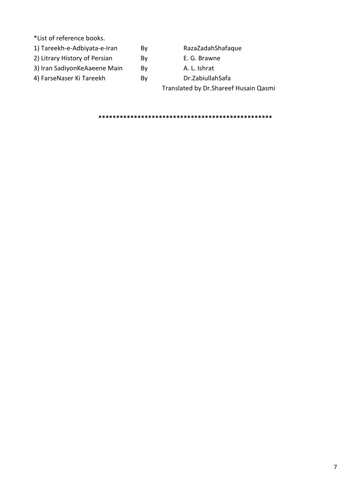\*List of reference books.

- 1) Tareekh-e-Adbiyata-e-Iran By RazaZadahShafaque
- 2) Litrary History of Persian By E. G. Brawne
- 3) Iran SadiyonKeAaeene Main By By A. L. Ishrat
- 4) FarseNaser Ki Tareekh By Dr.ZabiullahSafa

- 
- 
- 

Translated by Dr.Shareef Husain Qasmi

**\*\*\*\*\*\*\*\*\*\*\*\*\*\*\*\*\*\*\*\*\*\*\*\*\*\*\*\*\*\*\*\*\*\*\*\*\*\*\*\*\*\*\*\*\*\*\*\*\***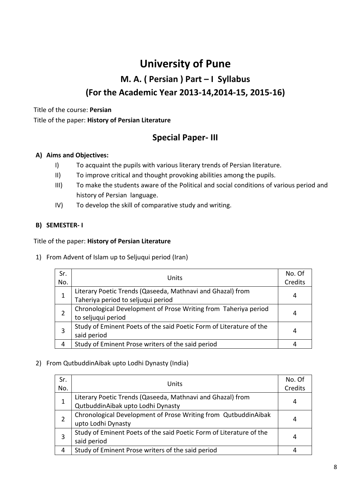## **M. A. ( Persian ) Part – I Syllabus (For the Academic Year 2013-14,2014-15, 2015-16)**

## Title of the course: **Persian** Title of the paper: **History of Persian Literature**

## **Special Paper- III**

### **A) Aims and Objectives:**

- I) To acquaint the pupils with various literary trends of Persian literature.
- II) To improve critical and thought provoking abilities among the pupils.
- III) To make the students aware of the Political and social conditions of various period and history of Persian language.
- IV) To develop the skill of comparative study and writing.

### **B) SEMESTER- I**

#### Title of the paper: **History of Persian Literature**

1) From Advent of Islam up to Seljuqui period (Iran)

| Sr. | Units                                                               | No. Of |
|-----|---------------------------------------------------------------------|--------|
| No. |                                                                     |        |
|     | Literary Poetic Trends (Qaseeda, Mathnavi and Ghazal) from          |        |
| 1   | Taheriya period to seljuqui period                                  | 4      |
|     | Chronological Development of Prose Writing from Taheriya period     |        |
| 2   | to seljuqui period                                                  | 4      |
|     | Study of Eminent Poets of the said Poetic Form of Literature of the |        |
| 3   | said period                                                         | 4      |
| 4   | Study of Eminent Prose writers of the said period                   |        |

#### 2) From QutbuddinAibak upto Lodhi Dynasty (India)

| Sr. |                                                                     | No. Of  |  |
|-----|---------------------------------------------------------------------|---------|--|
| No. | Units                                                               | Credits |  |
| 1   | Literary Poetic Trends (Qaseeda, Mathnavi and Ghazal) from          |         |  |
|     | QutbuddinAibak upto Lodhi Dynasty                                   |         |  |
| 2   | Chronological Development of Prose Writing from QutbuddinAibak      |         |  |
|     | upto Lodhi Dynasty                                                  |         |  |
| 3   | Study of Eminent Poets of the said Poetic Form of Literature of the |         |  |
|     | said period                                                         | 4       |  |
| 4   | Study of Eminent Prose writers of the said period                   |         |  |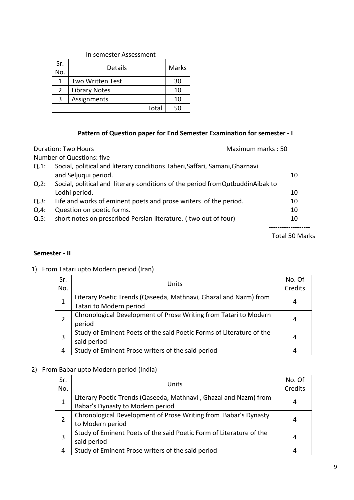| Sr. | Details                 | Marks |
|-----|-------------------------|-------|
| No. |                         |       |
| 1   | <b>Two Written Test</b> | 30    |
| 2   | <b>Library Notes</b>    | 10    |
| 3   | Assignments             | 10    |
|     | Total                   | 5Λ    |

#### **Pattern of Question paper for End Semester Examination for semester - I**

| Maximum marks: 50<br><b>Duration: Two Hours</b> |                                                                                 |                       |
|-------------------------------------------------|---------------------------------------------------------------------------------|-----------------------|
|                                                 | Number of Questions: five                                                       |                       |
| $Q.1$ :                                         | Social, political and literary conditions Taheri, Saffari, Samani, Ghaznavi     |                       |
|                                                 | and Seljuqui period.                                                            | 10                    |
| Q.2:                                            | Social, political and literary conditions of the period from Qutbuddin Aibak to |                       |
|                                                 | Lodhi period.                                                                   | 10                    |
| Q.3:                                            | Life and works of eminent poets and prose writers of the period.                | 10                    |
| Q.4:                                            | Question on poetic forms.                                                       | 10                    |
| Q.5:                                            | short notes on prescribed Persian literature. (two out of four)                 | 10                    |
|                                                 |                                                                                 | <b>Total 50 Marks</b> |

#### **Semester - II**

1) From Tatari upto Modern period (Iran)

| Sr.<br>No. | Units                                                                                       | No. Of<br>Credits |
|------------|---------------------------------------------------------------------------------------------|-------------------|
|            | Literary Poetic Trends (Qaseeda, Mathnavi, Ghazal and Nazm) from<br>Tatari to Modern period | 4                 |
|            | Chronological Development of Prose Writing from Tatari to Modern<br>period                  | 4                 |
| 3          | Study of Eminent Poets of the said Poetic Forms of Literature of the<br>said period         |                   |
| 4          | Study of Eminent Prose writers of the said period                                           |                   |

### 2) From Babar upto Modern period (India)

| Sr. | Units                                                               | No. Of |
|-----|---------------------------------------------------------------------|--------|
| No. |                                                                     |        |
| 1   | Literary Poetic Trends (Qaseeda, Mathnavi, Ghazal and Nazm) from    |        |
|     | Babar's Dynasty to Modern period                                    |        |
|     | Chronological Development of Prose Writing from Babar's Dynasty     |        |
|     | to Modern period                                                    |        |
| 3   | Study of Eminent Poets of the said Poetic Form of Literature of the |        |
|     | said period                                                         |        |
| 4   | Study of Eminent Prose writers of the said period                   |        |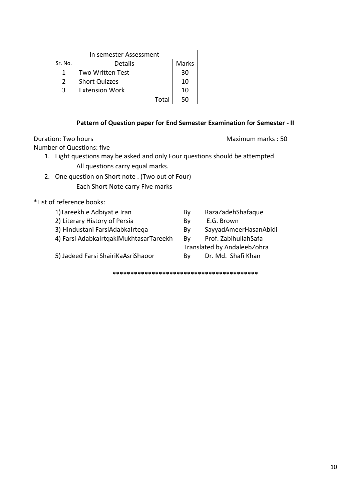| Sr. No.       | Details                 | Marks |
|---------------|-------------------------|-------|
|               | <b>Two Written Test</b> | 30    |
| $\mathcal{L}$ | <b>Short Quizzes</b>    | 10    |
|               | <b>Extension Work</b>   | 10    |
|               | Total                   |       |

#### **Pattern of Question paper for End Semester Examination for Semester - II**

Duration: Two hours **Maximum marks** : 50

Number of Questions: five

- 1. Eight questions may be asked and only Four questions should be attempted All questions carry equal marks.
- 2. One question on Short note . (Two out of Four) Each Short Note carry Five marks

\*List of reference books:

| 1) Tareekh e Adbiyat e Iran            | Bv | RazaZadehShafaque           |
|----------------------------------------|----|-----------------------------|
| 2) Literary History of Persia          | By | E.G. Brown                  |
| 3) Hindustani FarsiAdabkaIrtega        | Bv | SayyadAmeerHasanAbidi       |
| 4) Farsi AdabkaIrtgakiMukhtasarTareekh | Bv | Prof. ZabihullahSafa        |
|                                        |    | Translated by AndaleebZohra |
| 5) Jadeed Farsi ShairiKaAsriShaoor     | Bv | Dr. Md. Shafi Khan          |
|                                        |    |                             |

**\*\*\*\*\*\*\*\*\*\*\*\*\*\*\*\*\*\*\*\*\*\*\*\*\*\*\*\*\*\*\*\*\*\*\*\*\*\*\*\*\***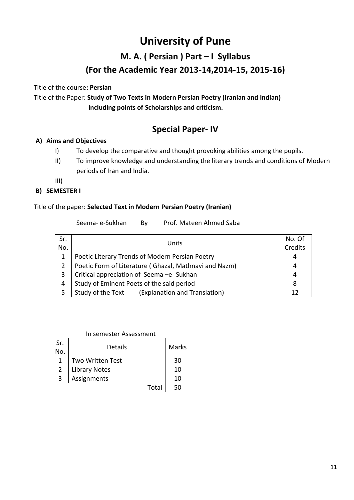## **M. A. ( Persian ) Part – I Syllabus (For the Academic Year 2013-14,2014-15, 2015-16)**

Title of the course**: Persian**

Title of the Paper: **Study of Two Texts in Modern Persian Poetry (Iranian and Indian) including points of Scholarships and criticism.**

## **Special Paper- IV**

#### **A) Aims and Objectives**

- I) To develop the comparative and thought provoking abilities among the pupils.
- II) To improve knowledge and understanding the literary trends and conditions of Modern periods of Iran and India.

III)

#### **B) SEMESTER I**

#### Title of the paper: **Selected Text in Modern Persian Poetry (Iranian)**

Seema- e-Sukhan By Prof. Mateen Ahmed Saba

| Sr.<br>No. | Units                                                 | No. Of<br>Credits |
|------------|-------------------------------------------------------|-------------------|
| 1          | Poetic Literary Trends of Modern Persian Poetry       | 4                 |
| 2          | Poetic Form of Literature (Ghazal, Mathnavi and Nazm) | 4                 |
| 3          | Critical appreciation of Seema -e- Sukhan             | 4                 |
| 4          | Study of Eminent Poets of the said period             |                   |
| 5          | Study of the Text<br>(Explanation and Translation)    |                   |

| In semester Assessment |                         |       |
|------------------------|-------------------------|-------|
| Sr.                    | Details                 | Marks |
| No.                    |                         |       |
| 1                      | <b>Two Written Test</b> | 30    |
| 2                      | <b>Library Notes</b>    | 10    |
| 3                      | Assignments             | 10    |
|                        | Total                   | 50    |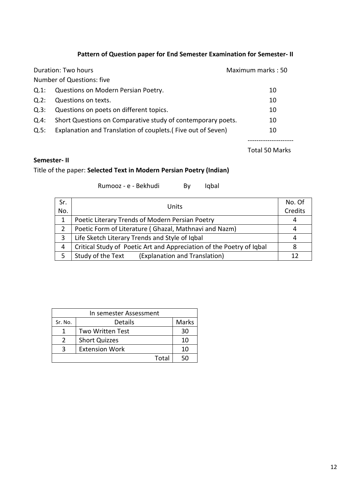### **Pattern of Question paper for End Semester Examination for Semester- II**

|      | Duration: Two hours                                          | Maximum marks: 50 |
|------|--------------------------------------------------------------|-------------------|
|      | Number of Questions: five                                    |                   |
| Q.1: | Questions on Modern Persian Poetry.                          | 10                |
| Q.2: | Questions on texts.                                          | 10                |
| Q.3: | Questions on poets on different topics.                      | 10                |
| Q.4: | Short Questions on Comparative study of contemporary poets.  | 10                |
| Q.5: | Explanation and Translation of couplets. (Five out of Seven) | 10                |
|      |                                                              |                   |

Total 50 Marks

#### **Semester- II**

### Title of the paper: **Selected Text in Modern Persian Poetry (Indian)**

Rumooz - e - Bekhudi By Iqbal

| Sr. | Units                                                                | No. Of |
|-----|----------------------------------------------------------------------|--------|
| No. |                                                                      |        |
|     | Poetic Literary Trends of Modern Persian Poetry                      | 4      |
|     | Poetic Form of Literature (Ghazal, Mathnavi and Nazm)                | 4      |
|     | Life Sketch Literary Trends and Style of Iqbal                       | 4      |
| 4   | Critical Study of Poetic Art and Appreciation of the Poetry of Iqbal | 8      |
|     | Study of the Text<br>(Explanation and Translation)                   | 12     |

| In semester Assessment |                         |       |
|------------------------|-------------------------|-------|
| Sr. No.                | Details                 | Marks |
|                        | <b>Two Written Test</b> | 30    |
| $\mathcal{P}$          | <b>Short Quizzes</b>    | 10    |
| ς                      | <b>Extension Work</b>   | 10    |
|                        | Total                   |       |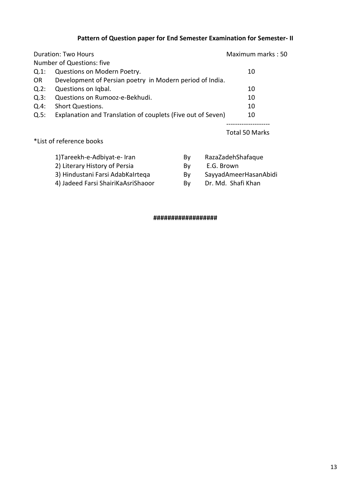## **Pattern of Question paper for End Semester Examination for Semester- II**

|           | <b>Duration: Two Hours</b>                                  | Maximum marks: 50 |
|-----------|-------------------------------------------------------------|-------------------|
|           | Number of Questions: five                                   |                   |
| Q.1:      | Questions on Modern Poetry.                                 | 10                |
| <b>OR</b> | Development of Persian poetry in Modern period of India.    |                   |
| $Q.2$ :   | Questions on Igbal.                                         | 10                |
| Q.3:      | Questions on Rumooz-e-Bekhudi.                              | 10                |
| Q.4:      | <b>Short Questions.</b>                                     | 10                |
| Q.5:      | Explanation and Translation of couplets (Five out of Seven) | 10                |
|           |                                                             |                   |

Total 50 Marks

#### \*List of reference books

| 1) Tareekh-e-Adbiyat-e-Iran        | Bv | RazaZadehShafaque     |
|------------------------------------|----|-----------------------|
| 2) Literary History of Persia      | Bv | E.G. Brown            |
| 3) Hindustani Farsi AdabKalrtega   | Bv | SayyadAmeerHasanAbidi |
| 4) Jadeed Farsi ShairiKaAsriShaoor | Bv | Dr. Md. Shafi Khan    |
|                                    |    |                       |

#### **##################**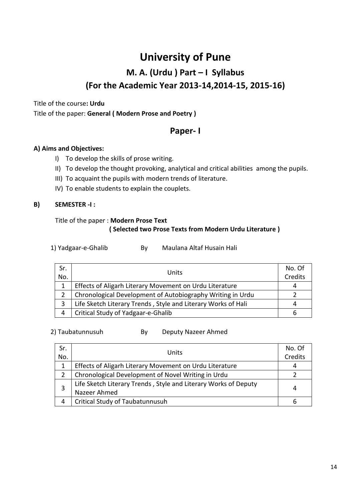# **University of Pune M. A. (Urdu ) Part – I Syllabus (For the Academic Year 2013-14,2014-15, 2015-16)**

Title of the course**: Urdu**

Title of the paper: **General ( Modern Prose and Poetry )**

## **Paper- I**

#### **A) Aims and Objectives:**

- I) To develop the skills of prose writing.
- II) To develop the thought provoking, analytical and critical abilities among the pupils.
- III) To acquaint the pupils with modern trends of literature.
- IV) To enable students to explain the couplets.

#### **B) SEMESTER -I :**

#### Title of the paper : **Modern Prose Text ( Selected two Prose Texts from Modern Urdu Literature )**

| 1) Yadgaar-e-Ghalib | By | Maulana Altaf Husain Hali |
|---------------------|----|---------------------------|
|---------------------|----|---------------------------|

| Sr.<br>No.     | Units                                                         | No. Of<br>Credits |
|----------------|---------------------------------------------------------------|-------------------|
|                | Effects of Aligarh Literary Movement on Urdu Literature       |                   |
| $\overline{2}$ | Chronological Development of Autobiography Writing in Urdu    |                   |
| 3              | Life Sketch Literary Trends, Style and Literary Works of Hali |                   |
| 4              | Critical Study of Yadgaar-e-Ghalib                            |                   |

#### 2) Taubatunnusuh By Deputy Nazeer Ahmed

| Sr.<br>No.     | Units                                                                           | No. Of<br>Credits |
|----------------|---------------------------------------------------------------------------------|-------------------|
| 1              | Effects of Aligarh Literary Movement on Urdu Literature                         | 4                 |
| $\overline{2}$ | Chronological Development of Novel Writing in Urdu                              |                   |
| 3              | Life Sketch Literary Trends, Style and Literary Works of Deputy<br>Nazeer Ahmed | 4                 |
| 4              | Critical Study of Taubatunnusuh                                                 |                   |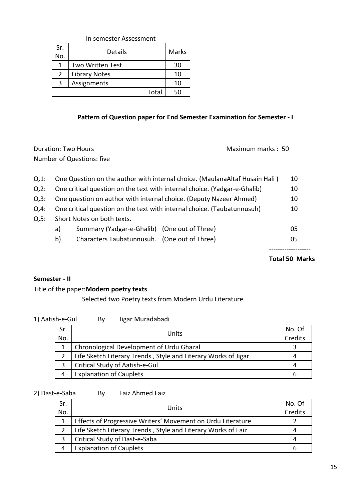| In semester Assessment |                         |       |
|------------------------|-------------------------|-------|
| Sr.                    |                         | Marks |
| No.                    | Details                 |       |
| 1                      | <b>Two Written Test</b> | 30    |
| $\overline{2}$         | <b>Library Notes</b>    | 10    |
| 3                      | Assignments             | 10    |
|                        | Total                   | 5Λ    |

### **Pattern of Question paper for End Semester Examination for Semester - I**

Duration: Two Hours **Maximum marks** : 50 Number of Questions: five

| Q.1:    |    | One Question on the author with internal choice. (MaulanaAltaf Husain Hali) | 10 |
|---------|----|-----------------------------------------------------------------------------|----|
| $Q.2$ : |    | One critical question on the text with internal choice. (Yadgar-e-Ghalib)   | 10 |
| Q.3:    |    | One question on author with internal choice. (Deputy Nazeer Ahmed)          | 10 |
| Q.4:    |    | One critical question on the text with internal choice. (Taubatunnusuh)     | 10 |
| Q.5:    |    | Short Notes on both texts.                                                  |    |
|         | a) | Summary (Yadgar-e-Ghalib) (One out of Three)                                | 05 |
|         | b) | Characters Taubatunnusuh. (One out of Three)                                | 05 |
|         |    |                                                                             |    |

**Total 50 Marks**

#### **Semester - II**

#### Title of the paper:**Modern poetry texts**

#### Selected two Poetry texts from Modern Urdu Literature

| 1) Aatish-e-Gul | By | Jigar Muradabadi |
|-----------------|----|------------------|
|-----------------|----|------------------|

| Sr. | Units                                                          | No. Of |
|-----|----------------------------------------------------------------|--------|
| No. |                                                                |        |
|     | Chronological Development of Urdu Ghazal                       |        |
|     | Life Sketch Literary Trends, Style and Literary Works of Jigar |        |
|     | Critical Study of Aatish-e-Gul                                 |        |
|     | <b>Explanation of Cauplets</b>                                 |        |

#### 2) Dast-e-Saba By Faiz Ahmed Faiz

| Sr.<br>No. | Units                                                         | No. Of<br>Credits |
|------------|---------------------------------------------------------------|-------------------|
|            | Effects of Progressive Writers' Movement on Urdu Literature   |                   |
|            | Life Sketch Literary Trends, Style and Literary Works of Faiz |                   |
|            | Critical Study of Dast-e-Saba                                 |                   |
| 4          | <b>Explanation of Cauplets</b>                                |                   |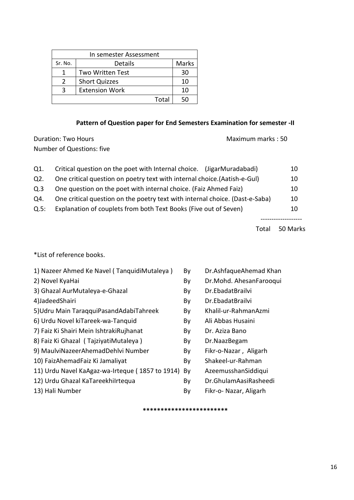| In semester Assessment |                       |       |  |
|------------------------|-----------------------|-------|--|
| Sr. No.                | Details               | Marks |  |
|                        | Two Written Test      | 30    |  |
| $\mathcal{L}$          | <b>Short Quizzes</b>  | 10    |  |
|                        | <b>Extension Work</b> | 10    |  |
|                        | Total                 |       |  |

### **Pattern of Question paper for End Semesters Examination for semester -II**

Duration: Two Hours **Maximum marks** : 50 Number of Questions: five

| Q1.  | Critical question on the poet with Internal choice. (JigarMuradabadi)        | 10 |
|------|------------------------------------------------------------------------------|----|
| Q2.  | One critical question on poetry text with internal choice. (Aatish-e-Gul)    | 10 |
| Q.3  | One question on the poet with internal choice. (Faiz Ahmed Faiz)             | 10 |
| Q4.  | One critical question on the poetry text with internal choice. (Dast-e-Saba) | 10 |
| Q.5: | Explanation of couplets from both Text Books (Five out of Seven)             | 10 |
|      |                                                                              |    |

Total 50 Marks

\*List of reference books.

| 1) Nazeer Ahmed Ke Navel (TanquidiMutaleya)     | By | Dr.AshfaqueAhemad Khan  |
|-------------------------------------------------|----|-------------------------|
| 2) Novel KyaHai                                 | By | Dr.Mohd. AhesanFarooqui |
| 3) Ghazal AurMutaleya-e-Ghazal                  | By | Dr.EbadatBrailvi        |
| 4)JadeedShairi                                  | By | Dr.EbadatBrailvi        |
| 5) Udru Main Taraqqui Pasand Adabi Tahreek      | By | Khalil-ur-RahmanAzmi    |
| 6) Urdu Novel kiTareek-wa-Tanquid               | By | Ali Abbas Husaini       |
| 7) Faiz Ki Shairi Mein IshtrakiRujhanat         | By | Dr. Aziza Bano          |
| 8) Faiz Ki Ghazal (TajziyatiMutaleya)           | By | Dr.NaazBegam            |
| 9) MaulviNazeerAhemadDehlvi Number              | By | Fikr-o-Nazar, Aligarh   |
| 10) FaizAhemadFaiz Ki Jamaliyat                 | By | Shakeel-ur-Rahman       |
| 11) Urdu Navel KaAgaz-wa-Irteque (1857 to 1914) | By | AzeemusshanSiddiqui     |
| 12) Urdu Ghazal KaTareekhilrtequa               | By | Dr.GhulamAasiRasheedi   |
| 13) Hali Number                                 | By | Fikr-o- Nazar, Aligarh  |
|                                                 |    |                         |

**\*\*\*\*\*\*\*\*\*\*\*\*\*\*\*\*\*\*\*\*\*\*\*\***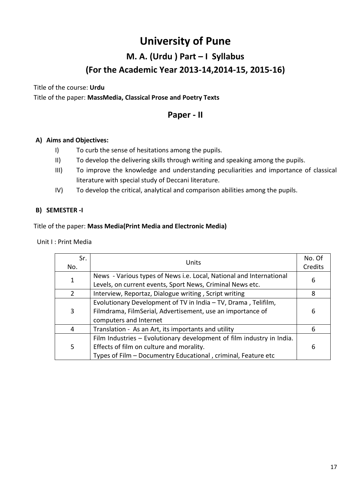# **University of Pune M. A. (Urdu ) Part – I Syllabus (For the Academic Year 2013-14,2014-15, 2015-16)**

Title of the course: **Urdu** Title of the paper: **MassMedia, Classical Prose and Poetry Texts**

## **Paper - II**

#### **A) Aims and Objectives:**

- I) To curb the sense of hesitations among the pupils.
- II) To develop the delivering skills through writing and speaking among the pupils.
- III) To improve the knowledge and understanding peculiarities and importance of classical literature with special study of Deccani literature.
- IV) To develop the critical, analytical and comparison abilities among the pupils.

#### **B) SEMESTER -I**

#### Title of the paper: **Mass Media(Print Media and Electronic Media)**

Unit I : Print Media

| Sr.<br>No.   | Units                                                                                                                                                                              |   |
|--------------|------------------------------------------------------------------------------------------------------------------------------------------------------------------------------------|---|
| $\mathbf{1}$ | News - Various types of News i.e. Local, National and International<br>Levels, on current events, Sport News, Criminal News etc.                                                   | 6 |
| 2            | Interview, Reportaz, Dialogue writing, Script writing                                                                                                                              | 8 |
| 3            | Evolutionary Development of TV in India - TV, Drama, Telifilm,<br>Filmdrama, FilmSerial, Advertisement, use an importance of<br>computers and Internet                             | 6 |
| 4            | Translation - As an Art, its importants and utility                                                                                                                                | 6 |
| 5            | Film Industries - Evolutionary development of film industry in India.<br>Effects of film on culture and morality.<br>Types of Film - Documentry Educational, criminal, Feature etc | 6 |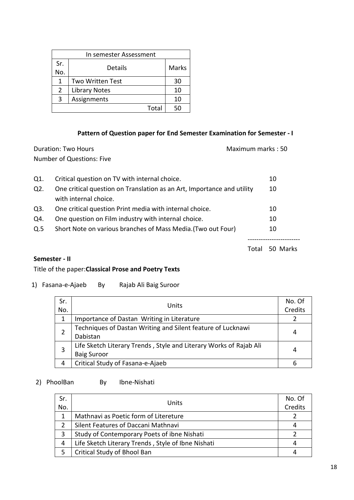| In semester Assessment |                         |              |  |
|------------------------|-------------------------|--------------|--|
| Sr.                    | Details                 | <b>Marks</b> |  |
| No.                    |                         |              |  |
| 1                      | <b>Two Written Test</b> | 30           |  |
| 2                      | <b>Library Notes</b>    | 10           |  |
| 3                      | Assignments             | 10           |  |
| Total                  |                         |              |  |

#### **Pattern of Question paper for End Semester Examination for Semester - I**

| Duration: Two Hours       | Maximum marks: 50 |
|---------------------------|-------------------|
| Number of Questions: Five |                   |
|                           |                   |

| Q1. | Critical question on TV with internal choice.                          | 10 |
|-----|------------------------------------------------------------------------|----|
| Q2. | One critical question on Translation as an Art, Importance and utility | 10 |
|     | with internal choice.                                                  |    |
| Q3. | One critical question Print media with internal choice.                | 10 |
| Q4. | One question on Film industry with internal choice.                    | 10 |
| Q.5 | Short Note on various branches of Mass Media. (Two out Four)           | 10 |
|     |                                                                        |    |

#### Total 50 Marks

#### **Semester - II**

#### Title of the paper:**Classical Prose and Poetry Texts**

1) Fasana-e-Ajaeb By Rajab Ali Baig Suroor

| Sr. | Units                                                              | No. Of |
|-----|--------------------------------------------------------------------|--------|
| No. |                                                                    |        |
|     | Importance of Dastan Writing in Literature                         |        |
|     | Techniques of Dastan Writing and Silent feature of Lucknawi        |        |
|     | Dabistan                                                           |        |
|     | Life Sketch Literary Trends, Style and Literary Works of Rajab Ali | 4      |
|     | <b>Baig Suroor</b>                                                 |        |
| 4   | Critical Study of Fasana-e-Ajaeb                                   |        |

### 2) PhoolBan By Ibne-Nishati

| Sr.<br>No. | Units                                              | No. Of<br>Credits |
|------------|----------------------------------------------------|-------------------|
|            | Mathnavi as Poetic form of Litereture              |                   |
|            | Silent Features of Daccani Mathnavi                | 4                 |
|            | Study of Contemporary Poets of ibne Nishati        |                   |
| 4          | Life Sketch Literary Trends, Style of Ibne Nishati | 4                 |
|            | Critical Study of Bhool Ban                        |                   |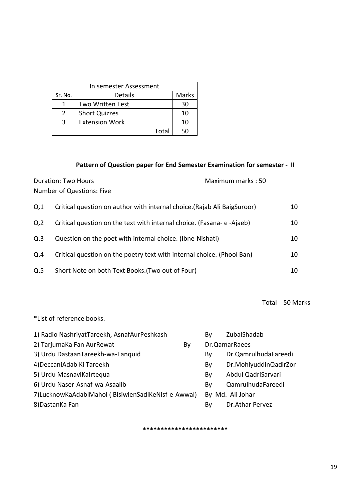| In semester Assessment |                       |       |  |
|------------------------|-----------------------|-------|--|
| Sr. No.                | Details               | Marks |  |
|                        | Two Written Test      | 30    |  |
| $\mathcal{P}$          | <b>Short Quizzes</b>  | 10    |  |
|                        | <b>Extension Work</b> | 10    |  |
|                        | Total                 |       |  |

#### **Pattern of Question paper for End Semester Examination for semester - II**

Duration: Two Hours Maximum marks : 50 Number of Questions: Five

| Q.1            | Critical question on author with internal choice. (Rajab Ali BaigSuroor) | 10 |
|----------------|--------------------------------------------------------------------------|----|
| Q <sub>2</sub> | Critical question on the text with internal choice. (Fasana-e-Ajaeb)     | 10 |
| Q.3            | Question on the poet with internal choice. (Ibne-Nishati)                | 10 |
| Q.4            | Critical question on the poetry text with internal choice. (Phool Ban)   | 10 |
| Q.5            | Short Note on both Text Books. (Two out of Four)                         | 10 |

---------------------

Total 50 Marks

\*List of reference books.

| 1) Radio NashriyatTareekh, AsnafAurPeshkash        |    | Bv | ZubaiShadab           |
|----------------------------------------------------|----|----|-----------------------|
| 2) TarjumaKa Fan AurRewat                          | By |    | Dr.QamarRaees         |
| 3) Urdu DastaanTareekh-wa-Tanquid                  |    | By | Dr.QamrulhudaFareedi  |
| 4) DeccaniAdab Ki Tareekh                          |    | By | Dr.MohiyuddinQadirZor |
| 5) Urdu MasnaviKalrtequa                           |    | By | Abdul QadriSarvari    |
| 6) Urdu Naser-Asnaf-wa-Asaalib                     |    | Bv | QamrulhudaFareedi     |
| 7)LucknowKaAdabiMahol (BisiwienSadiKeNisf-e-Awwal) |    |    | By Md. Ali Johar      |
| 8) Dastan Ka Fan                                   |    | By | Dr.Athar Pervez       |

**\*\*\*\*\*\*\*\*\*\*\*\*\*\*\*\*\*\*\*\*\*\*\*\***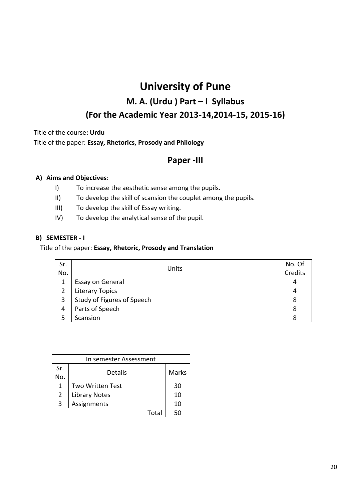## **M. A. (Urdu ) Part – I Syllabus (For the Academic Year 2013-14,2014-15, 2015-16)**

Title of the course**: Urdu**

Title of the paper: **Essay, Rhetorics, Prosody and Philology**

## **Paper -III**

#### **A) Aims and Objectives**:

- I) To increase the aesthetic sense among the pupils.
- II) To develop the skill of scansion the couplet among the pupils.
- III) To develop the skill of Essay writing.
- IV) To develop the analytical sense of the pupil.

#### **B) SEMESTER - I**

#### Title of the paper: **Essay, Rhetoric, Prosody and Translation**

| Sr. | Units                      | No. Of  |
|-----|----------------------------|---------|
| No. |                            | Credits |
|     | Essay on General           | 4       |
|     | <b>Literary Topics</b>     |         |
| 3   | Study of Figures of Speech |         |
| 4   | Parts of Speech            |         |
|     | Scansion                   |         |

| In semester Assessment |                         |       |  |
|------------------------|-------------------------|-------|--|
| Sr.                    | Details                 | Marks |  |
| No.                    |                         |       |  |
| 1                      | <b>Two Written Test</b> | 30    |  |
| 2                      | <b>Library Notes</b>    | 10    |  |
| 3                      | Assignments             | 10    |  |
|                        | Total                   | 50    |  |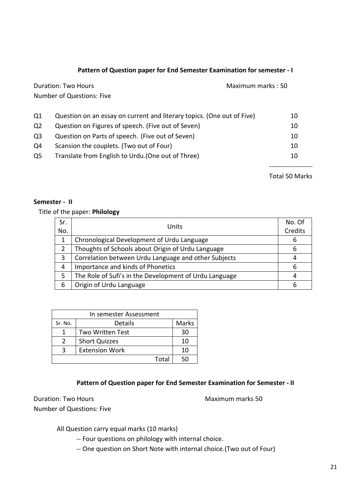#### **Pattern of Question paper for End Semester Examination for semester - I**

|                | Number of Questions: Five                                              |    |
|----------------|------------------------------------------------------------------------|----|
| Q <sub>1</sub> | Question on an essay on current and literary topics. (One out of Five) | 10 |
| Q <sub>2</sub> | Question on Figures of speech. (Five out of Seven)                     | 10 |
| Q <sub>3</sub> | Question on Parts of speech. (Five out of Seven)                       | 10 |
| Q4             | Scansion the couplets. (Two out of Four)                               | 10 |
| Q <sub>5</sub> | Translate from English to Urdu. (One out of Three)                     | 10 |
|                |                                                                        |    |

Duration: Two Hours **Maximum marks** : 50

Total 50 Marks

#### **Semester - II**

#### Title of the paper: **Philology**

| Sr.<br>No.    | Units                                                  | No. Of<br>Credits |
|---------------|--------------------------------------------------------|-------------------|
| 1             | Chronological Development of Urdu Language             | 6                 |
| $\mathcal{P}$ | Thoughts of Schools about Origin of Urdu Language      | 6                 |
| 3             | Correlation between Urdu Language and other Subjects   | 4                 |
| 4             | Importance and kinds of Phonetics                      | 6                 |
| 5             | The Role of Sufi's in the Development of Urdu Language |                   |
| 6             | Origin of Urdu Language                                |                   |

| In semester Assessment |                         |       |  |
|------------------------|-------------------------|-------|--|
| Sr. No.                | Details                 | Marks |  |
|                        | <b>Two Written Test</b> | 30    |  |
| $\mathcal{L}$          | <b>Short Quizzes</b>    | 10    |  |
|                        | <b>Extension Work</b>   | 10    |  |
|                        | Total                   | 50    |  |

#### **Pattern of Question paper for End Semester Examination for Semester - II**

Duration: Two Hours **Maximum marks** 50 Number of Questions: Five

All Question carry equal marks (10 marks)

-- Four questions on philology with internal choice.

-- One question on Short Note with internal choice.(Two out of Four)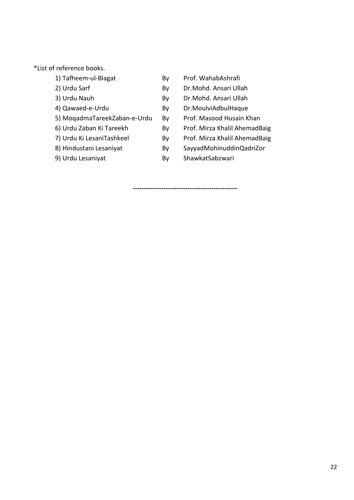\*List of reference books.

| 1) Tafheem-ul-Blagat         | Β١ |
|------------------------------|----|
| 2) Urdu Sarf                 | B١ |
| 3) Urdu Nauh                 | B١ |
| 4) Qawaed-e-Urdu             | B١ |
| 5) MogadmaTareekZaban-e-Urdu | B١ |
| 6) Urdu Zaban Ki Tareekh     | B١ |
| 7) Urdu Ki LesaniTashkeel    | B١ |
| 8) Hindustani Lesaniyat      | B١ |
| 9) Urdu Lesaniyat            | Β١ |
|                              |    |

- y Prof. WahabAshrafi
- v Dr.Mohd. Ansari Ullah
- y Dr.Mohd. Ansari Ullah
- y Dr.MoulviAdbulHaque
- y Prof. Masood Husain Khan
- y Prof. Mirza Khalil AhemadBaig
- y Prof. Mirza Khalil AhemadBaig
- y SayyadMohinuddinQadriZor
- y ShawkatSabzwari

**------------------------------------------------**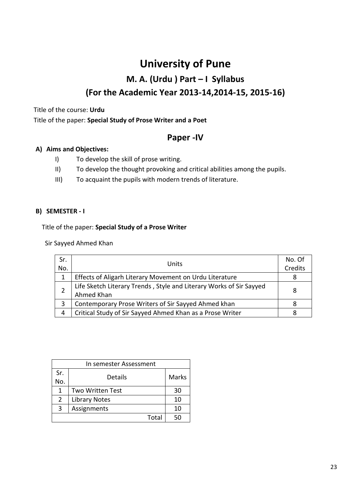# **University of Pune M. A. (Urdu ) Part – I Syllabus (For the Academic Year 2013-14,2014-15, 2015-16)**

Title of the course: **Urdu**

Title of the paper: **Special Study of Prose Writer and a Poet**

### **Paper -IV**

#### **A) Aims and Objectives:**

- I) To develop the skill of prose writing.
- II) To develop the thought provoking and critical abilities among the pupils.
- III) To acquaint the pupils with modern trends of literature.

#### **B) SEMESTER - I**

Title of the paper: **Special Study of a Prose Writer**

Sir Sayyed Ahmed Khan

| Sr.<br>No. | Units                                                                             | No. Of<br>Credits |
|------------|-----------------------------------------------------------------------------------|-------------------|
| 1          | Effects of Aligarh Literary Movement on Urdu Literature                           |                   |
|            | Life Sketch Literary Trends, Style and Literary Works of Sir Sayyed<br>Ahmed Khan | 8                 |
| 3          | Contemporary Prose Writers of Sir Sayyed Ahmed khan                               |                   |
| 4          | Critical Study of Sir Sayyed Ahmed Khan as a Prose Writer                         |                   |

| In semester Assessment |                         |       |  |
|------------------------|-------------------------|-------|--|
| Sr.                    | Details                 | Marks |  |
| No.                    |                         |       |  |
| 1                      | <b>Two Written Test</b> | 30    |  |
| $\overline{2}$         | <b>Library Notes</b>    | 10    |  |
| 3                      | Assignments             | 10    |  |
|                        | Total                   | 50    |  |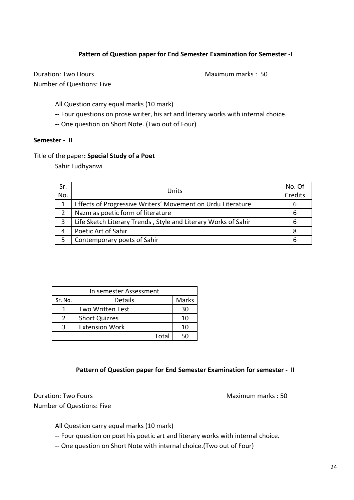#### **Pattern of Question paper for End Semester Examination for Semester -I**

Duration: Two Hours **Maximum marks** : 50 Number of Questions: Five

All Question carry equal marks (10 mark)

- -- Four questions on prose writer, his art and literary works with internal choice.
- -- One question on Short Note. (Two out of Four)

#### **Semester - II**

#### Title of the paper**: Special Study of a Poet**

Sahir Ludhyanwi

| Sr.<br>No. | Units                                                          | No. Of<br>Credits |
|------------|----------------------------------------------------------------|-------------------|
|            | Effects of Progressive Writers' Movement on Urdu Literature    | 6                 |
| 2          | Nazm as poetic form of literature                              | 6                 |
|            | Life Sketch Literary Trends, Style and Literary Works of Sahir | 6                 |
| 4          | Poetic Art of Sahir                                            | 8                 |
|            | Contemporary poets of Sahir                                    |                   |

| In semester Assessment |                         |       |  |
|------------------------|-------------------------|-------|--|
| Sr. No.                | Details                 | Marks |  |
|                        | <b>Two Written Test</b> | 30    |  |
| $\mathcal{L}$          | <b>Short Quizzes</b>    | 10    |  |
| ζ                      | <b>Extension Work</b>   | 10    |  |
|                        | Total                   | 5Λ    |  |

#### **Pattern of Question paper for End Semester Examination for semester - II**

Duration: Two Fours Maximum marks : 50 Number of Questions: Five

All Question carry equal marks (10 mark)

-- Four question on poet his poetic art and literary works with internal choice.

-- One question on Short Note with internal choice.(Two out of Four)